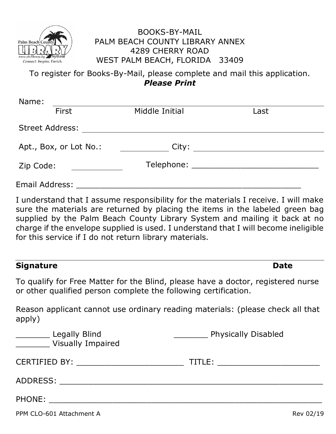

## BOOKS-BY-MAIL PALM BEACH COUNTY LIBRARY ANNEX 4289 CHERRY ROAD WEST PALM BEACH, FLORIDA 33409

To register for Books-By-Mail, please complete and mail this application. *Please Print*

| Name:                  |                        |                |      |  |  |
|------------------------|------------------------|----------------|------|--|--|
|                        | First                  | Middle Initial | Last |  |  |
| <b>Street Address:</b> |                        |                |      |  |  |
|                        | Apt., Box, or Lot No.: | City:          |      |  |  |
| Zip Code:              |                        |                |      |  |  |
| <b>Email Address:</b>  |                        |                |      |  |  |

I understand that I assume responsibility for the materials I receive. I will make sure the materials are returned by placing the items in the labeled green bag supplied by the Palm Beach County Library System and mailing it back at no charge if the envelope supplied is used. I understand that I will become ineligible for this service if I do not return library materials.

## **Signature Date**

To qualify for Free Matter for the Blind, please have a doctor, registered nurse or other qualified person complete the following certification.

Reason applicant cannot use ordinary reading materials: (please check all that apply)

| Legally Blind<br><b>Visually Impaired</b>                                                                                                                                                                                      | Physically Disabled |
|--------------------------------------------------------------------------------------------------------------------------------------------------------------------------------------------------------------------------------|---------------------|
| CERTIFIED BY: Network of the state of the state of the state of the state of the state of the state of the state of the state of the state of the state of the state of the state of the state of the state of the state of th | TITLE:              |
| ADDRESS:                                                                                                                                                                                                                       |                     |
| PHONE:                                                                                                                                                                                                                         |                     |

PPM CLO-601 Attachment A Rev 02/19